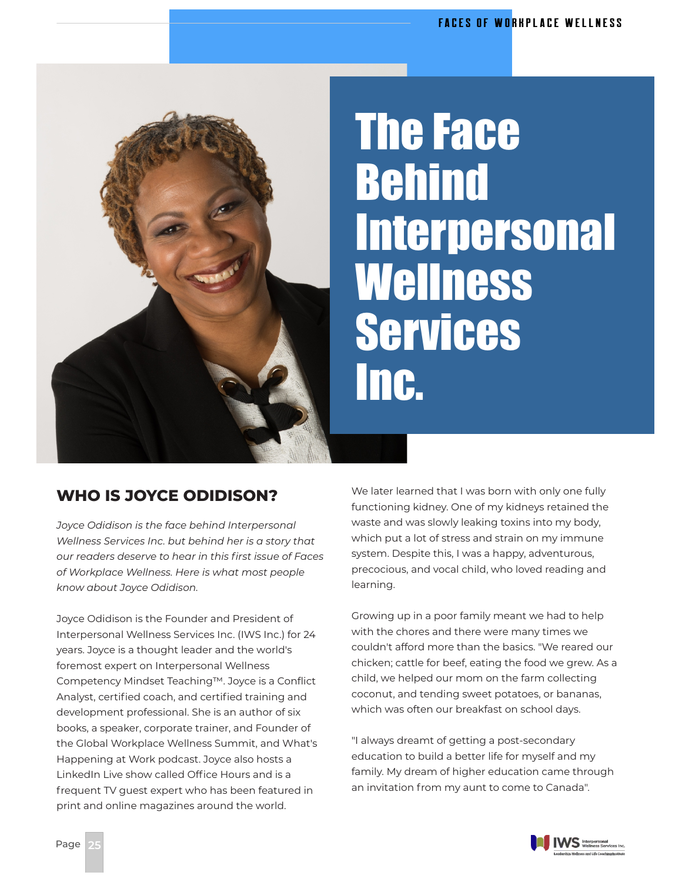

## The Face Behind **Interpersonal Wellness** Services Inc.

## **WHO IS JOYCE ODIDISON?**

*Joyce Odidison is the face behind Interpersonal Wellness Services Inc. but behind her is a story that our readers deserve to hear in this first issue of Faces of Workplace Wellness. Here is what most people know about Joyce Odidison.*

Joyce Odidison is the Founder and President of Interpersonal Wellness Services Inc. (IWS Inc.) for 24 years. Joyce is a thought leader and the world's foremost expert on Interpersonal Wellness Competency Mindset Teaching™. Joyce is a Conflict Analyst, certified coach, and certified training and development professional. She is an author of six books, a speaker, corporate trainer, and Founder of the Global Workplace Wellness Summit, and What's Happening at Work podcast. Joyce also hosts a LinkedIn Live show called Office Hours and is a frequent TV guest expert who has been featured in print and online magazines around the world.

We later learned that I was born with only one fully functioning kidney. One of my kidneys retained the waste and was slowly leaking toxins into my body, which put a lot of stress and strain on my immune system. Despite this, I was a happy, adventurous, precocious, and vocal child, who loved reading and learning.

Growing up in a poor family meant we had to help with the chores and there were many times we couldn't afford more than the basics. "We reared our chicken; cattle for beef, eating the food we grew. As a child, we helped our mom on the farm collecting coconut, and tending sweet potatoes, or bananas, which was often our breakfast on school days.

"I always dreamt of getting a post-secondary education to build a better life for myself and my family. My dream of higher education came through an invitation from my aunt to come to Canada".

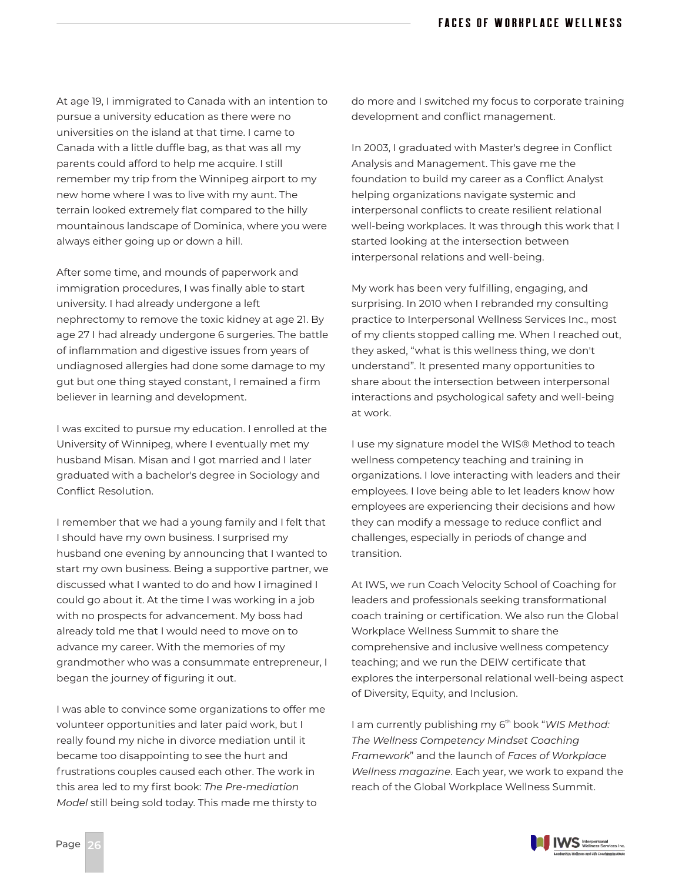At age 19, I immigrated to Canada with an intention to pursue a university education as there were no universities on the island at that time. I came to Canada with a little duffle bag, as that was all my parents could afford to help me acquire. I still remember my trip from the Winnipeg airport to my new home where I was to live with my aunt. The terrain looked extremely flat compared to the hilly mountainous landscape of Dominica, where you were always either going up or down a hill.

After some time, and mounds of paperwork and immigration procedures, I was finally able to start university. I had already undergone a left nephrectomy to remove the toxic kidney at age 21. By age 27 I had already undergone 6 surgeries. The battle of inflammation and digestive issues from years of undiagnosed allergies had done some damage to my gut but one thing stayed constant, I remained a firm believer in learning and development.

I was excited to pursue my education. I enrolled at the University of Winnipeg, where I eventually met my husband Misan. Misan and I got married and I later graduated with a bachelor's degree in Sociology and Conflict Resolution.

I remember that we had a young family and I felt that I should have my own business. I surprised my husband one evening by announcing that I wanted to start my own business. Being a supportive partner, we discussed what I wanted to do and how I imagined I could go about it. At the time I was working in a job with no prospects for advancement. My boss had already told me that I would need to move on to advance my career. With the memories of my grandmother who was a consummate entrepreneur, I began the journey of figuring it out.

I was able to convince some organizations to offer me volunteer opportunities and later paid work, but I really found my niche in divorce mediation until it became too disappointing to see the hurt and frustrations couples caused each other. The work in this area led to my first book: *The Pre-mediation Model* still being sold today. This made me thirsty to

do more and I switched my focus to corporate training development and conflict management.

In 2003, I graduated with Master's degree in Conflict Analysis and Management. This gave me the foundation to build my career as a Conflict Analyst helping organizations navigate systemic and interpersonal conflicts to create resilient relational well-being workplaces. It was through this work that I started looking at the intersection between interpersonal relations and well-being.

My work has been very fulfilling, engaging, and surprising. In 2010 when I rebranded my consulting practice to Interpersonal Wellness Services Inc., most of my clients stopped calling me. When I reached out, they asked, "what is this wellness thing, we don't understand". It presented many opportunities to share about the intersection between interpersonal interactions and psychological safety and well-being at work.

I use my signature model the WIS® Method to teach wellness competency teaching and training in organizations. I love interacting with leaders and their employees. I love being able to let leaders know how employees are experiencing their decisions and how they can modify a message to reduce conflict and challenges, especially in periods of change and transition.

At IWS, we run Coach Velocity School of Coaching for leaders and professionals seeking transformational coach training or certification. We also run the Global Workplace Wellness Summit to share the comprehensive and inclusive wellness competency teaching; and we run the DEIW certificate that explores the interpersonal relational well-being aspect of Diversity, Equity, and Inclusion.

I am currently publishing my 6<sup>th</sup> book "WIS Method: *The Wellness Competency Mindset Coaching Framework*" and the launch of *Faces of Workplace Wellness magazine*. Each year, we work to expand the reach of the Global Workplace Wellness Summit.